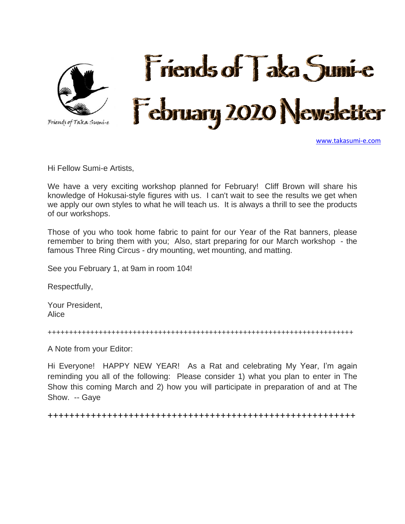

[www.takasumi-e.com](http://www.takasumi-e.com/)

Hi Fellow Sumi-e Artists,

We have a very exciting workshop planned for February! Cliff Brown will share his knowledge of Hokusai-style figures with us. I can't wait to see the results we get when we apply our own styles to what he will teach us. It is always a thrill to see the products of our workshops.

Those of you who took home fabric to paint for our Year of the Rat banners, please remember to bring them with you; Also, start preparing for our March workshop - the famous Three Ring Circus - dry mounting, wet mounting, and matting.

See you February 1, at 9am in room 104!

Respectfully,

Your President, Alice

++++++++++++++++++++++++++++++++++++++++++++++++++++++++++++++++++++++++

A Note from your Editor:

Hi Everyone! HAPPY NEW YEAR! As a Rat and celebrating My Year, I'm again reminding you all of the following: Please consider 1) what you plan to enter in The Show this coming March and 2) how you will participate in preparation of and at The Show. -- Gaye

+++++++++++++++++++++++++++++++++++++++++++++++++++++++++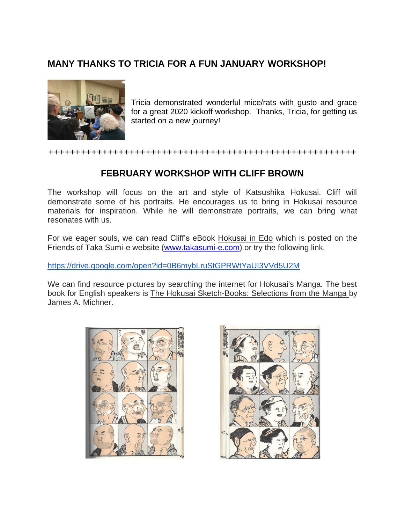## **MANY THANKS TO TRICIA FOR A FUN JANUARY WORKSHOP!**



Tricia demonstrated wonderful mice/rats with gusto and grace for a great 2020 kickoff workshop. Thanks, Tricia, for getting us started on a new journey!

#### +++++++++++++++++++++++++++++++++++++++++++++++++++++++++

### **FEBRUARY WORKSHOP WITH CLIFF BROWN**

The workshop will focus on the art and style of Katsushika Hokusai. Cliff will demonstrate some of his portraits. He encourages us to bring in Hokusai resource materials for inspiration. While he will demonstrate portraits, we can bring what resonates with us.

For we eager souls, we can read Cliff's eBook Hokusai in Edo which is posted on the Friends of Taka Sumi-e website [\(www.takasumi-e.com\)](http://www.takasumi-e.com/) or try the following link.

<https://drive.google.com/open?id=0B6mybLruStGPRWtYaUI3VVd5U2M>

We can find resource pictures by searching the internet for Hokusai's Manga. The best book for English speakers is The Hokusai Sketch-Books: Selections from the Manga by James A. Michner.



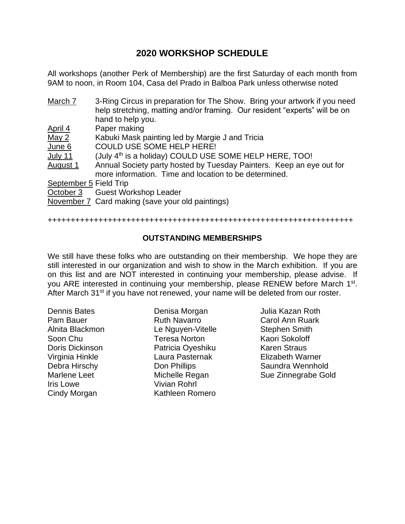## **2020 WORKSHOP SCHEDULE**

All workshops (another Perk of Membership) are the first Saturday of each month from 9AM to noon, in Room 104, Casa del Prado in Balboa Park unless otherwise noted

| March 7                | 3-Ring Circus in preparation for The Show. Bring your artwork if you need<br>help stretching, matting and/or framing. Our resident "experts" will be on |
|------------------------|---------------------------------------------------------------------------------------------------------------------------------------------------------|
|                        | hand to help you.                                                                                                                                       |
| April 4                | Paper making                                                                                                                                            |
| May 2                  | Kabuki Mask painting led by Margie J and Tricia                                                                                                         |
| June 6                 | <b>COULD USE SOME HELP HERE!</b>                                                                                                                        |
| July 11                | (July 4 <sup>th</sup> is a holiday) COULD USE SOME HELP HERE, TOO!                                                                                      |
| August 1               | Annual Society party hosted by Tuesday Painters. Keep an eye out for                                                                                    |
|                        | more information. Time and location to be determined.                                                                                                   |
| September 5 Field Trip |                                                                                                                                                         |
|                        | October 3 Guest Workshop Leader                                                                                                                         |
|                        | November 7 Card making (save your old paintings)                                                                                                        |

#### ++++++++++++++++++++++++++++++++++++++++++++++++++++++++++++++++++

#### **OUTSTANDING MEMBERSHIPS**

We still have these folks who are outstanding on their membership. We hope they are still interested in our organization and wish to show in the March exhibition. If you are on this list and are NOT interested in continuing your membership, please advise. If you ARE interested in continuing your membership, please RENEW before March 1<sup>st</sup>. After March 31<sup>st</sup> if you have not renewed, your name will be deleted from our roster.

Dennis Bates Pam Bauer Alnita Blackmon Soon Chu Doris Dickinson Virginia Hinkle Debra Hirschy Marlene Leet Iris Lowe Cindy Morgan

Denisa Morgan Ruth Navarro Le Nguyen-Vitelle Teresa Norton Patricia Oyeshiku Laura Pasternak Don Phillips Michelle Regan Vivian Rohrl Kathleen Romero

Julia Kazan Roth Carol Ann Ruark Stephen Smith Kaori Sokoloff Karen Straus Elizabeth Warner Saundra Wennhold Sue Zinnegrabe Gold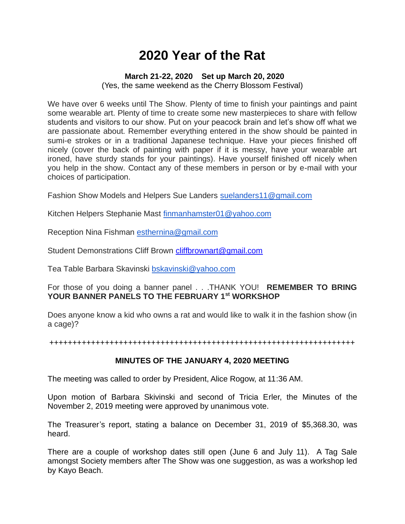## **2020 Year of the Rat**

#### **March 21-22, 2020 Set up March 20, 2020**

(Yes, the same weekend as the Cherry Blossom Festival)

We have over 6 weeks until The Show. Plenty of time to finish your paintings and paint some wearable art. Plenty of time to create some new masterpieces to share with fellow students and visitors to our show. Put on your peacock brain and let's show off what we are passionate about. Remember everything entered in the show should be painted in sumi-e strokes or in a traditional Japanese technique. Have your pieces finished off nicely (cover the back of painting with paper if it is messy, have your wearable art ironed, have sturdy stands for your paintings). Have yourself finished off nicely when you help in the show. Contact any of these members in person or by e-mail with your choices of participation.

Fashion Show Models and Helpers Sue Landers [suelanders11@gmail.com](mailto:suelanders11@gmail.com)

Kitchen Helpers Stephanie Mast [finmanhamster01@yahoo.com](mailto:finmanhamster01@yahoo.com)

Reception Nina Fishman [esthernina@gmail.com](mailto:esthernina@gmail.com)

Student Demonstrations Cliff Brown [cliffbrownart@gmail.com](mailto:cliffbrownart@gmail.com)

Tea Table Barbara Skavinski [bskavinski@yahoo.com](mailto:bskavinski@yahoo.com)

For those of you doing a banner panel . . .THANK YOU! **REMEMBER TO BRING YOUR BANNER PANELS TO THE FEBRUARY 1st WORKSHOP**

Does anyone know a kid who owns a rat and would like to walk it in the fashion show (in a cage)?

++++++++++++++++++++++++++++++++++++++++++++++++++++++++++++++++++

#### **MINUTES OF THE JANUARY 4, 2020 MEETING**

The meeting was called to order by President, Alice Rogow, at 11:36 AM.

Upon motion of Barbara Skivinski and second of Tricia Erler, the Minutes of the November 2, 2019 meeting were approved by unanimous vote.

The Treasurer's report, stating a balance on December 31, 2019 of \$5,368.30, was heard.

There are a couple of workshop dates still open (June 6 and July 11). A Tag Sale amongst Society members after The Show was one suggestion, as was a workshop led by Kayo Beach.